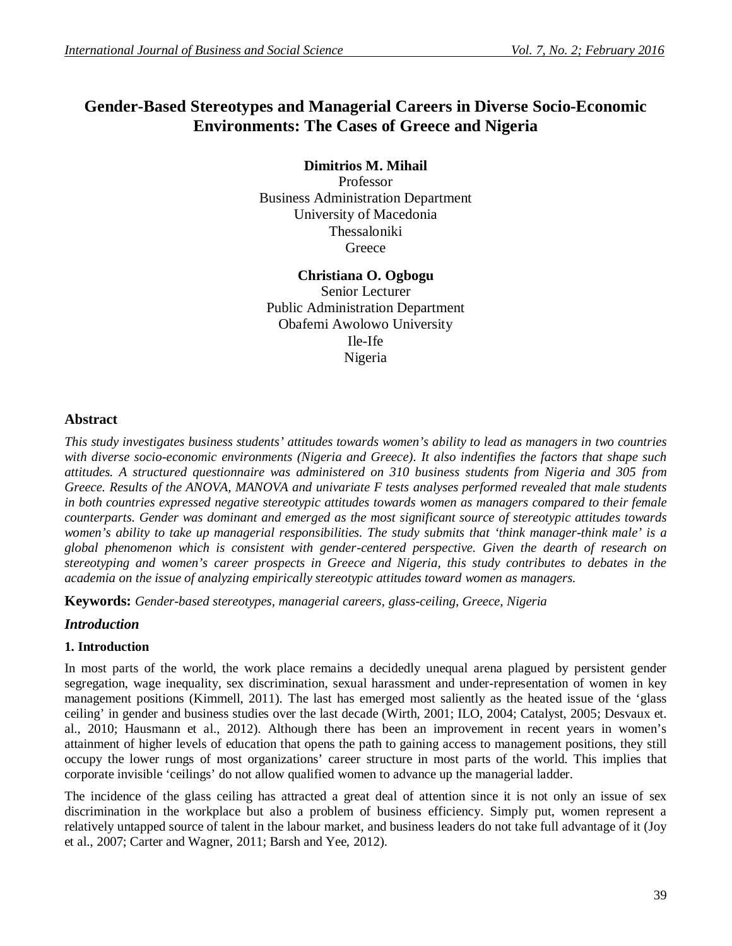# **Gender-Based Stereotypes and Managerial Careers in Diverse Socio-Economic Environments: The Cases of Greece and Nigeria**

# **Dimitrios M. Mihail**

Professor Business Administration Department University of Macedonia Thessaloniki **Greece** 

# **Christiana O. Ogbogu**

Senior Lecturer Public Administration Department Obafemi Awolowo University Ile-Ife Nigeria

## **Abstract**

*This study investigates business students' attitudes towards women's ability to lead as managers in two countries with diverse socio-economic environments (Nigeria and Greece). It also indentifies the factors that shape such attitudes. A structured questionnaire was administered on 310 business students from Nigeria and 305 from Greece. Results of the ANOVA, MANOVA and univariate F tests analyses performed revealed that male students in both countries expressed negative stereotypic attitudes towards women as managers compared to their female counterparts. Gender was dominant and emerged as the most significant source of stereotypic attitudes towards women's ability to take up managerial responsibilities. The study submits that 'think manager-think male' is a global phenomenon which is consistent with gender-centered perspective. Given the dearth of research on stereotyping and women's career prospects in Greece and Nigeria, this study contributes to debates in the academia on the issue of analyzing empirically stereotypic attitudes toward women as managers.*

**Keywords:** *Gender-based stereotypes, managerial careers, glass-ceiling, Greece, Nigeria*

# *Introduction*

### **1. Introduction**

In most parts of the world, the work place remains a decidedly unequal arena plagued by persistent gender segregation, wage inequality, sex discrimination, sexual harassment and under-representation of women in key management positions (Kimmell, 2011). The last has emerged most saliently as the heated issue of the 'glass ceiling' in gender and business studies over the last decade (Wirth, 2001; ILO, 2004; Catalyst, 2005; Desvaux et. al., 2010; Hausmann et al., 2012). Although there has been an improvement in recent years in women's attainment of higher levels of education that opens the path to gaining access to management positions, they still occupy the lower rungs of most organizations' career structure in most parts of the world. This implies that corporate invisible 'ceilings' do not allow qualified women to advance up the managerial ladder.

The incidence of the glass ceiling has attracted a great deal of attention since it is not only an issue of sex discrimination in the workplace but also a problem of business efficiency. Simply put, women represent a relatively untapped source of talent in the labour market, and business leaders do not take full advantage of it (Joy et al., 2007; Carter and Wagner, 2011; Barsh and Yee, 2012).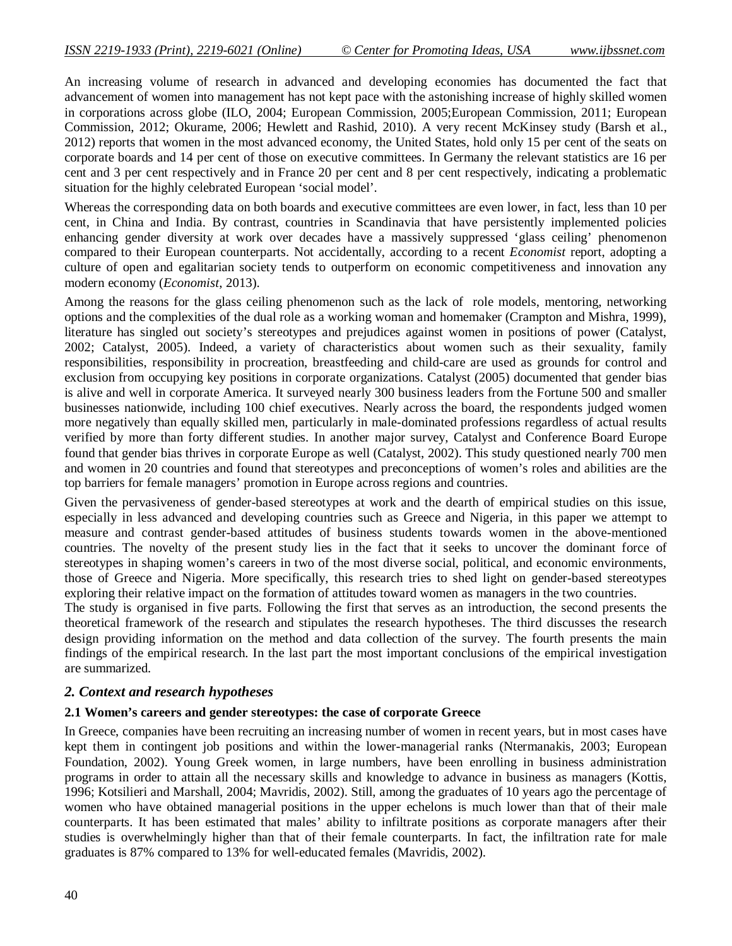An increasing volume of research in advanced and developing economies has documented the fact that advancement of women into management has not kept pace with the astonishing increase of highly skilled women in corporations across globe (ILO, 2004; European Commission, 2005;European Commission, 2011; European Commission, 2012; Okurame, 2006; Hewlett and Rashid, 2010). A very recent McKinsey study (Barsh et al., 2012) reports that women in the most advanced economy, the United States, hold only 15 per cent of the seats on corporate boards and 14 per cent of those on executive committees. In Germany the relevant statistics are 16 per cent and 3 per cent respectively and in France 20 per cent and 8 per cent respectively, indicating a problematic situation for the highly celebrated European 'social model'.

Whereas the corresponding data on both boards and executive committees are even lower, in fact, less than 10 per cent, in China and India. By contrast, countries in Scandinavia that have persistently implemented policies enhancing gender diversity at work over decades have a massively suppressed 'glass ceiling' phenomenon compared to their European counterparts. Not accidentally, according to a recent *Economist* report, adopting a culture of open and egalitarian society tends to outperform on economic competitiveness and innovation any modern economy (*Economist*, 2013).

Among the reasons for the glass ceiling phenomenon such as the lack of role models, mentoring, networking options and the complexities of the dual role as a working woman and homemaker (Crampton and Mishra, 1999), literature has singled out society's stereotypes and prejudices against women in positions of power (Catalyst, 2002; Catalyst, 2005). Indeed, a variety of characteristics about women such as their sexuality, family responsibilities, responsibility in procreation, breastfeeding and child-care are used as grounds for control and exclusion from occupying key positions in corporate organizations. Catalyst (2005) documented that gender bias is alive and well in corporate America. It surveyed nearly 300 business leaders from the Fortune 500 and smaller businesses nationwide, including 100 chief executives. Nearly across the board, the respondents judged women more negatively than equally skilled men, particularly in male-dominated professions regardless of actual results verified by more than forty different studies. In another major survey, Catalyst and Conference Board Europe found that gender bias thrives in corporate Europe as well (Catalyst, 2002). This study questioned nearly 700 men and women in 20 countries and found that stereotypes and preconceptions of women's roles and abilities are the top barriers for female managers' promotion in Europe across regions and countries.

Given the pervasiveness of gender-based stereotypes at work and the dearth of empirical studies on this issue, especially in less advanced and developing countries such as Greece and Nigeria, in this paper we attempt to measure and contrast gender-based attitudes of business students towards women in the above-mentioned countries. The novelty of the present study lies in the fact that it seeks to uncover the dominant force of stereotypes in shaping women's careers in two of the most diverse social, political, and economic environments, those of Greece and Nigeria. More specifically, this research tries to shed light on gender-based stereotypes exploring their relative impact on the formation of attitudes toward women as managers in the two countries.

The study is organised in five parts. Following the first that serves as an introduction, the second presents the theoretical framework of the research and stipulates the research hypotheses. The third discusses the research design providing information on the method and data collection of the survey. The fourth presents the main findings of the empirical research. In the last part the most important conclusions of the empirical investigation are summarized.

### *2. Context and research hypotheses*

### **2.1 Women's careers and gender stereotypes: the case of corporate Greece**

In Greece, companies have been recruiting an increasing number of women in recent years, but in most cases have kept them in contingent job positions and within the lower-managerial ranks (Ntermanakis, 2003; European Foundation, 2002). Young Greek women, in large numbers, have been enrolling in business administration programs in order to attain all the necessary skills and knowledge to advance in business as managers (Kottis, 1996; Kotsilieri and Marshall, 2004; Mavridis, 2002). Still, among the graduates of 10 years ago the percentage of women who have obtained managerial positions in the upper echelons is much lower than that of their male counterparts. It has been estimated that males' ability to infiltrate positions as corporate managers after their studies is overwhelmingly higher than that of their female counterparts. In fact, the infiltration rate for male graduates is 87% compared to 13% for well-educated females (Mavridis, 2002).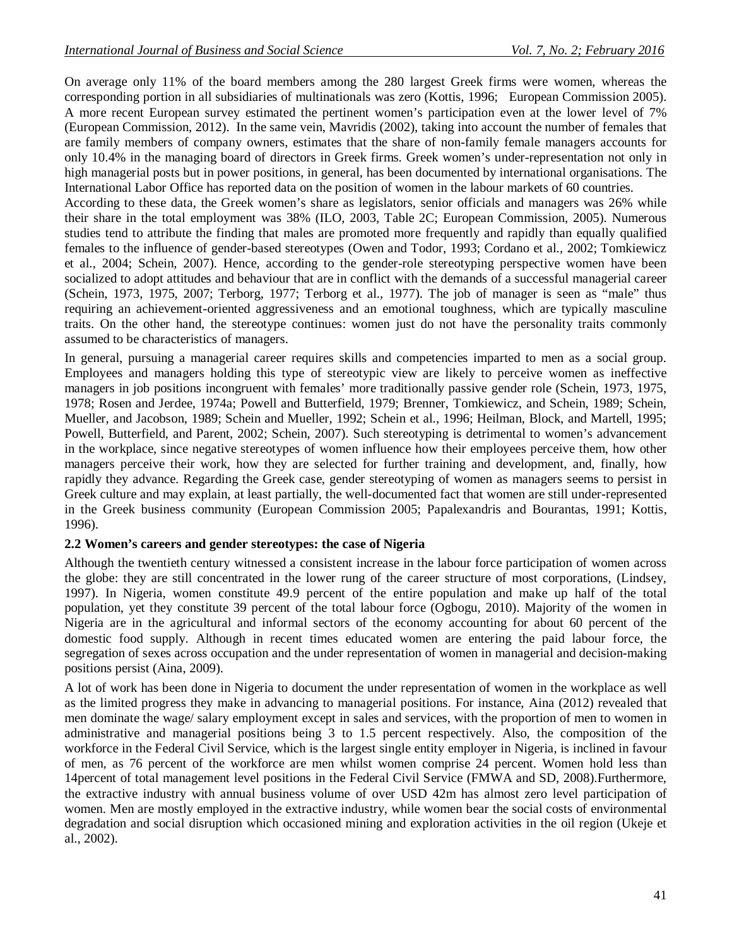On average only 11% of the board members among the 280 largest Greek firms were women, whereas the corresponding portion in all subsidiaries of multinationals was zero (Kottis, 1996; European Commission 2005). A more recent European survey estimated the pertinent women's participation even at the lower level of 7% (European Commission, 2012). In the same vein, Mavridis (2002), taking into account the number of females that are family members of company owners, estimates that the share of non-family female managers accounts for only 10.4% in the managing board of directors in Greek firms. Greek women's under-representation not only in high managerial posts but in power positions, in general, has been documented by international organisations. The International Labor Office has reported data on the position of women in the labour markets of 60 countries.

According to these data, the Greek women's share as legislators, senior officials and managers was 26% while their share in the total employment was 38% (ILO, 2003, Table 2C; European Commission, 2005). Numerous studies tend to attribute the finding that males are promoted more frequently and rapidly than equally qualified females to the influence of gender-based stereotypes (Owen and Todor, 1993; Cordano et al., 2002; Tomkiewicz et al.*,* 2004; Schein, 2007). Hence, according to the gender-role stereotyping perspective women have been socialized to adopt attitudes and behaviour that are in conflict with the demands of a successful managerial career (Schein, 1973, 1975, 2007; Terborg, 1977; Terborg et al., 1977). The job of manager is seen as "male" thus requiring an achievement-oriented aggressiveness and an emotional toughness, which are typically masculine traits. On the other hand, the stereotype continues: women just do not have the personality traits commonly assumed to be characteristics of managers.

In general, pursuing a managerial career requires skills and competencies imparted to men as a social group. Employees and managers holding this type of stereotypic view are likely to perceive women as ineffective managers in job positions incongruent with females' more traditionally passive gender role (Schein, 1973, 1975, 1978; Rosen and Jerdee, 1974a; Powell and Butterfield, 1979; Brenner, Tomkiewicz, and Schein, 1989; Schein, Mueller, and Jacobson, 1989; Schein and Mueller, 1992; Schein et al., 1996; Heilman, Block, and Martell, 1995; Powell, Butterfield, and Parent, 2002; Schein, 2007). Such stereotyping is detrimental to women's advancement in the workplace, since negative stereotypes of women influence how their employees perceive them, how other managers perceive their work, how they are selected for further training and development, and, finally, how rapidly they advance. Regarding the Greek case, gender stereotyping of women as managers seems to persist in Greek culture and may explain, at least partially, the well-documented fact that women are still under-represented in the Greek business community (European Commission 2005; Papalexandris and Bourantas, 1991; Kottis, 1996).

### **2.2 Women's careers and gender stereotypes: the case of Nigeria**

Although the twentieth century witnessed a consistent increase in the labour force participation of women across the globe: they are still concentrated in the lower rung of the career structure of most corporations, (Lindsey, 1997). In Nigeria, women constitute 49.9 percent of the entire population and make up half of the total population, yet they constitute 39 percent of the total labour force (Ogbogu, 2010). Majority of the women in Nigeria are in the agricultural and informal sectors of the economy accounting for about 60 percent of the domestic food supply. Although in recent times educated women are entering the paid labour force, the segregation of sexes across occupation and the under representation of women in managerial and decision-making positions persist (Aina, 2009).

A lot of work has been done in Nigeria to document the under representation of women in the workplace as well as the limited progress they make in advancing to managerial positions. For instance, Aina (2012) revealed that men dominate the wage/ salary employment except in sales and services, with the proportion of men to women in administrative and managerial positions being 3 to 1.5 percent respectively. Also, the composition of the workforce in the Federal Civil Service, which is the largest single entity employer in Nigeria, is inclined in favour of men, as 76 percent of the workforce are men whilst women comprise 24 percent. Women hold less than 14percent of total management level positions in the Federal Civil Service (FMWA and SD, 2008).Furthermore, the extractive industry with annual business volume of over USD 42m has almost zero level participation of women. Men are mostly employed in the extractive industry, while women bear the social costs of environmental degradation and social disruption which occasioned mining and exploration activities in the oil region (Ukeje et al., 2002).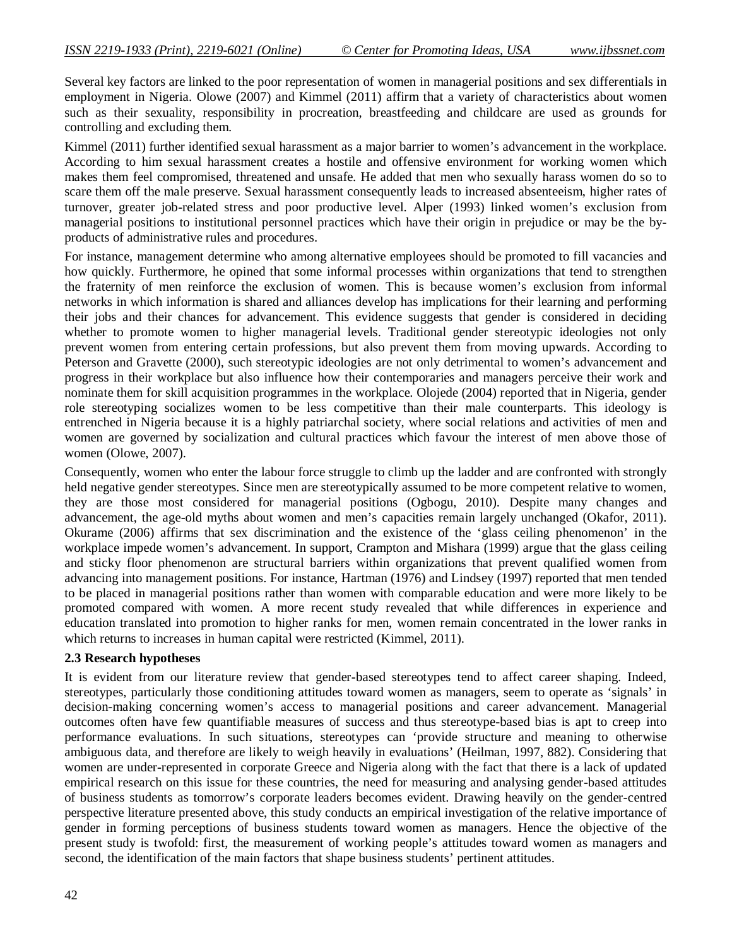Several key factors are linked to the poor representation of women in managerial positions and sex differentials in employment in Nigeria. Olowe (2007) and Kimmel (2011) affirm that a variety of characteristics about women such as their sexuality, responsibility in procreation, breastfeeding and childcare are used as grounds for controlling and excluding them.

Kimmel (2011) further identified sexual harassment as a major barrier to women's advancement in the workplace. According to him sexual harassment creates a hostile and offensive environment for working women which makes them feel compromised, threatened and unsafe. He added that men who sexually harass women do so to scare them off the male preserve. Sexual harassment consequently leads to increased absenteeism, higher rates of turnover, greater job-related stress and poor productive level. Alper (1993) linked women's exclusion from managerial positions to institutional personnel practices which have their origin in prejudice or may be the byproducts of administrative rules and procedures.

For instance, management determine who among alternative employees should be promoted to fill vacancies and how quickly. Furthermore, he opined that some informal processes within organizations that tend to strengthen the fraternity of men reinforce the exclusion of women. This is because women's exclusion from informal networks in which information is shared and alliances develop has implications for their learning and performing their jobs and their chances for advancement. This evidence suggests that gender is considered in deciding whether to promote women to higher managerial levels. Traditional gender stereotypic ideologies not only prevent women from entering certain professions, but also prevent them from moving upwards. According to Peterson and Gravette (2000), such stereotypic ideologies are not only detrimental to women's advancement and progress in their workplace but also influence how their contemporaries and managers perceive their work and nominate them for skill acquisition programmes in the workplace. Olojede (2004) reported that in Nigeria, gender role stereotyping socializes women to be less competitive than their male counterparts. This ideology is entrenched in Nigeria because it is a highly patriarchal society, where social relations and activities of men and women are governed by socialization and cultural practices which favour the interest of men above those of women (Olowe, 2007).

Consequently, women who enter the labour force struggle to climb up the ladder and are confronted with strongly held negative gender stereotypes. Since men are stereotypically assumed to be more competent relative to women, they are those most considered for managerial positions (Ogbogu, 2010). Despite many changes and advancement, the age-old myths about women and men's capacities remain largely unchanged (Okafor, 2011). Okurame (2006) affirms that sex discrimination and the existence of the 'glass ceiling phenomenon' in the workplace impede women's advancement. In support, Crampton and Mishara (1999) argue that the glass ceiling and sticky floor phenomenon are structural barriers within organizations that prevent qualified women from advancing into management positions. For instance, Hartman (1976) and Lindsey (1997) reported that men tended to be placed in managerial positions rather than women with comparable education and were more likely to be promoted compared with women. A more recent study revealed that while differences in experience and education translated into promotion to higher ranks for men, women remain concentrated in the lower ranks in which returns to increases in human capital were restricted (Kimmel, 2011).

### **2.3 Research hypotheses**

It is evident from our literature review that gender-based stereotypes tend to affect career shaping. Indeed, stereotypes, particularly those conditioning attitudes toward women as managers, seem to operate as 'signals' in decision-making concerning women's access to managerial positions and career advancement. Managerial outcomes often have few quantifiable measures of success and thus stereotype-based bias is apt to creep into performance evaluations. In such situations, stereotypes can 'provide structure and meaning to otherwise ambiguous data, and therefore are likely to weigh heavily in evaluations' (Heilman, 1997, 882). Considering that women are under-represented in corporate Greece and Nigeria along with the fact that there is a lack of updated empirical research on this issue for these countries, the need for measuring and analysing gender-based attitudes of business students as tomorrow's corporate leaders becomes evident. Drawing heavily on the gender-centred perspective literature presented above, this study conducts an empirical investigation of the relative importance of gender in forming perceptions of business students toward women as managers. Hence the objective of the present study is twofold: first, the measurement of working people's attitudes toward women as managers and second, the identification of the main factors that shape business students' pertinent attitudes.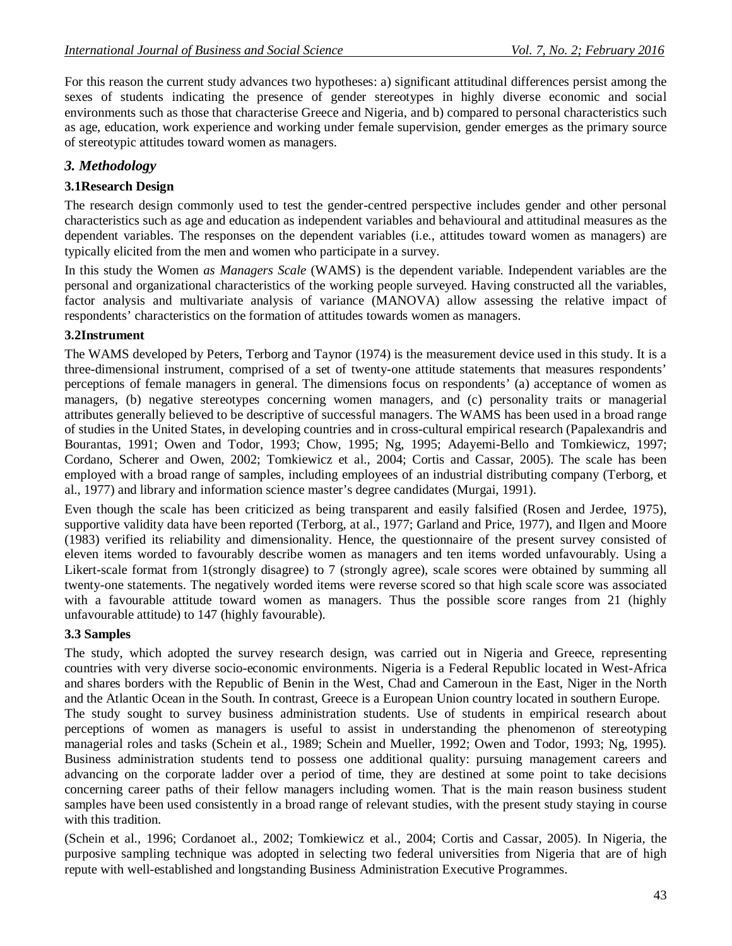For this reason the current study advances two hypotheses: a) significant attitudinal differences persist among the sexes of students indicating the presence of gender stereotypes in highly diverse economic and social environments such as those that characterise Greece and Nigeria, and b) compared to personal characteristics such as age, education, work experience and working under female supervision, gender emerges as the primary source of stereotypic attitudes toward women as managers.

# *3. Methodology*

# **3.1Research Design**

The research design commonly used to test the gender-centred perspective includes gender and other personal characteristics such as age and education as independent variables and behavioural and attitudinal measures as the dependent variables. The responses on the dependent variables (i.e., attitudes toward women as managers) are typically elicited from the men and women who participate in a survey.

In this study the Women *as Managers Scale* (WAMS) is the dependent variable. Independent variables are the personal and organizational characteristics of the working people surveyed. Having constructed all the variables, factor analysis and multivariate analysis of variance (MANOVA) allow assessing the relative impact of respondents' characteristics on the formation of attitudes towards women as managers.

## **3.2Instrument**

The WAMS developed by Peters, Terborg and Taynor (1974) is the measurement device used in this study. It is a three-dimensional instrument, comprised of a set of twenty-one attitude statements that measures respondents' perceptions of female managers in general. The dimensions focus on respondents' (a) acceptance of women as managers, (b) negative stereotypes concerning women managers, and (c) personality traits or managerial attributes generally believed to be descriptive of successful managers. The WAMS has been used in a broad range of studies in the United States, in developing countries and in cross-cultural empirical research (Papalexandris and Bourantas, 1991; Owen and Todor, 1993; Chow, 1995; Ng, 1995; Adayemi-Bello and Tomkiewicz, 1997; Cordano, Scherer and Owen*,* 2002; Tomkiewicz et al., 2004; Cortis and Cassar, 2005). The scale has been employed with a broad range of samples, including employees of an industrial distributing company (Terborg, et al., 1977) and library and information science master's degree candidates (Murgai, 1991).

Even though the scale has been criticized as being transparent and easily falsified (Rosen and Jerdee, 1975), supportive validity data have been reported (Terborg, at al., 1977; Garland and Price, 1977), and Ilgen and Moore (1983) verified its reliability and dimensionality. Hence, the questionnaire of the present survey consisted of eleven items worded to favourably describe women as managers and ten items worded unfavourably. Using a Likert-scale format from 1(strongly disagree) to 7 (strongly agree), scale scores were obtained by summing all twenty-one statements. The negatively worded items were reverse scored so that high scale score was associated with a favourable attitude toward women as managers. Thus the possible score ranges from 21 (highly unfavourable attitude) to 147 (highly favourable).

### **3.3 Samples**

The study, which adopted the survey research design, was carried out in Nigeria and Greece, representing countries with very diverse socio-economic environments. Nigeria is a Federal Republic located in West-Africa and shares borders with the Republic of Benin in the West, Chad and Cameroun in the East, Niger in the North and the Atlantic Ocean in the South. In contrast, Greece is a European Union country located in southern Europe. The study sought to survey business administration students. Use of students in empirical research about perceptions of women as managers is useful to assist in understanding the phenomenon of stereotyping managerial roles and tasks (Schein et al.*,* 1989; Schein and Mueller, 1992; Owen and Todor, 1993; Ng, 1995). Business administration students tend to possess one additional quality: pursuing management careers and advancing on the corporate ladder over a period of time, they are destined at some point to take decisions concerning career paths of their fellow managers including women. That is the main reason business student samples have been used consistently in a broad range of relevant studies, with the present study staying in course with this tradition.

(Schein et al., 1996; Cordanoet al., 2002; Tomkiewicz et al.*,* 2004; Cortis and Cassar, 2005). In Nigeria, the purposive sampling technique was adopted in selecting two federal universities from Nigeria that are of high repute with well-established and longstanding Business Administration Executive Programmes.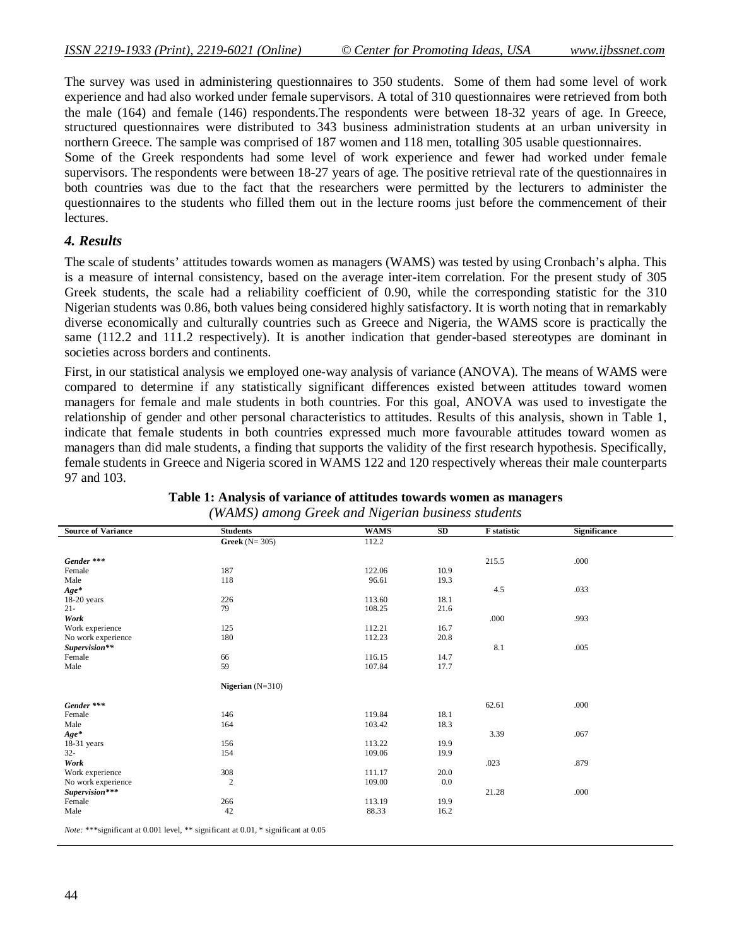The survey was used in administering questionnaires to 350 students. Some of them had some level of work experience and had also worked under female supervisors. A total of 310 questionnaires were retrieved from both the male (164) and female (146) respondents.The respondents were between 18-32 years of age. In Greece, structured questionnaires were distributed to 343 business administration students at an urban university in northern Greece. The sample was comprised of 187 women and 118 men, totalling 305 usable questionnaires.

Some of the Greek respondents had some level of work experience and fewer had worked under female supervisors. The respondents were between 18-27 years of age. The positive retrieval rate of the questionnaires in both countries was due to the fact that the researchers were permitted by the lecturers to administer the questionnaires to the students who filled them out in the lecture rooms just before the commencement of their lectures.

### *4. Results*

The scale of students' attitudes towards women as managers (WAMS) was tested by using Cronbach's alpha. This is a measure of internal consistency, based on the average inter-item correlation. For the present study of 305 Greek students, the scale had a reliability coefficient of 0.90, while the corresponding statistic for the 310 Nigerian students was 0.86, both values being considered highly satisfactory. It is worth noting that in remarkably diverse economically and culturally countries such as Greece and Nigeria, the WAMS score is practically the same (112.2 and 111.2 respectively). It is another indication that gender-based stereotypes are dominant in societies across borders and continents.

First, in our statistical analysis we employed one-way analysis of variance (ANOVA). The means of WAMS were compared to determine if any statistically significant differences existed between attitudes toward women managers for female and male students in both countries. For this goal, ANOVA was used to investigate the relationship of gender and other personal characteristics to attitudes. Results of this analysis, shown in Table 1, indicate that female students in both countries expressed much more favourable attitudes toward women as managers than did male students, a finding that supports the validity of the first research hypothesis. Specifically, female students in Greece and Nigeria scored in WAMS 122 and 120 respectively whereas their male counterparts 97 and 103.

| <b>Source of Variance</b> | <b>Students</b>    | <b>WAMS</b> | SD   | <b>F</b> statistic | <b>Significance</b> |
|---------------------------|--------------------|-------------|------|--------------------|---------------------|
|                           | Greek $(N=305)$    | 112.2       |      |                    |                     |
| Gender ***                |                    |             |      | 215.5              | .000                |
| Female                    | 187                | 122.06      | 10.9 |                    |                     |
| Male                      | 118                | 96.61       | 19.3 |                    |                     |
| $Age*$                    |                    |             |      | 4.5                | .033                |
| $18-20$ years             | 226                | 113.60      | 18.1 |                    |                     |
| $21 -$                    | 79                 | 108.25      | 21.6 |                    |                     |
| Work                      |                    |             |      | .000               | .993                |
| Work experience           | 125                | 112.21      | 16.7 |                    |                     |
| No work experience        | 180                | 112.23      | 20.8 |                    |                     |
| Supervision**             |                    |             |      | 8.1                | .005                |
| Female                    | 66                 | 116.15      | 14.7 |                    |                     |
| Male                      | 59                 | 107.84      | 17.7 |                    |                     |
|                           | Nigerian $(N=310)$ |             |      |                    |                     |
| Gender ***                |                    |             |      | 62.61              | .000                |
| Female                    | 146                | 119.84      | 18.1 |                    |                     |
| Male                      | 164                | 103.42      | 18.3 |                    |                     |
| $Age*$                    |                    |             |      | 3.39               | .067                |
| 18-31 years               | 156                | 113.22      | 19.9 |                    |                     |
| $32 -$                    | 154                | 109.06      | 19.9 |                    |                     |
| Work                      |                    |             |      | .023               | .879                |
| Work experience           | 308                | 111.17      | 20.0 |                    |                     |
| No work experience        | $\overline{c}$     | 109.00      | 0.0  |                    |                     |
| Supervision***            |                    |             |      | 21.28              | .000                |
| Female                    | 266                | 113.19      | 19.9 |                    |                     |
| Male                      | 42                 | 88.33       | 16.2 |                    |                     |

#### **Table 1: Analysis of variance of attitudes towards women as managers** *(WAMS) among Greek and Nigerian business students*

*Note:* \*\*\*significant at 0.001 level, \*\* significant at 0.01, \* significant at 0.05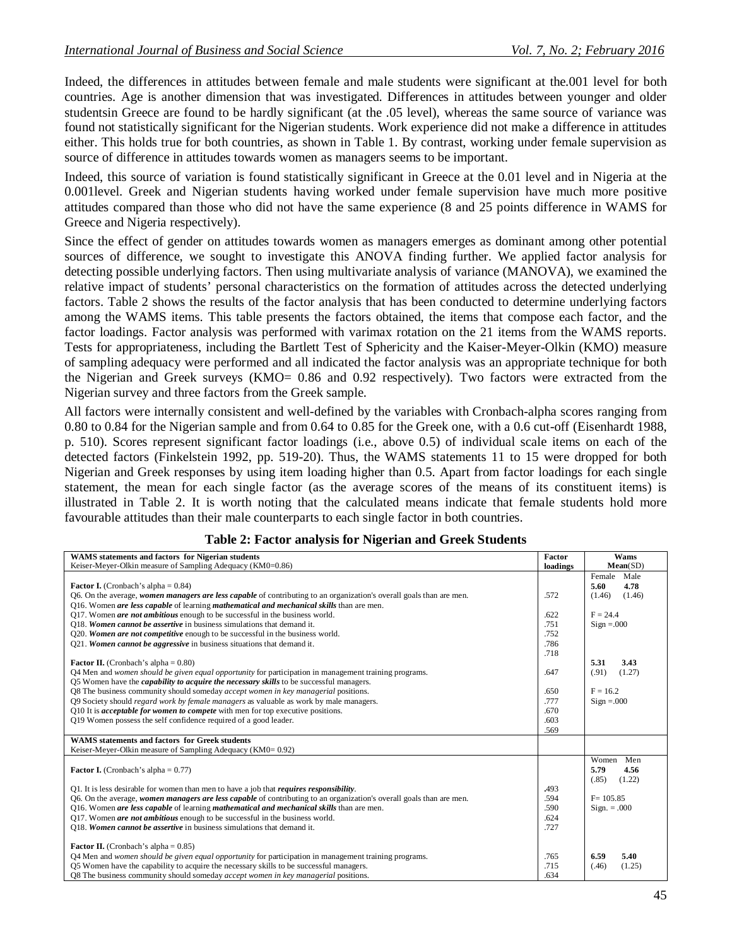Indeed, the differences in attitudes between female and male students were significant at the.001 level for both countries. Age is another dimension that was investigated. Differences in attitudes between younger and older studentsin Greece are found to be hardly significant (at the .05 level), whereas the same source of variance was found not statistically significant for the Nigerian students. Work experience did not make a difference in attitudes either. This holds true for both countries, as shown in Table 1. By contrast, working under female supervision as source of difference in attitudes towards women as managers seems to be important.

Indeed, this source of variation is found statistically significant in Greece at the 0.01 level and in Nigeria at the 0.001level. Greek and Nigerian students having worked under female supervision have much more positive attitudes compared than those who did not have the same experience (8 and 25 points difference in WAMS for Greece and Nigeria respectively).

Since the effect of gender on attitudes towards women as managers emerges as dominant among other potential sources of difference, we sought to investigate this ANOVA finding further. We applied factor analysis for detecting possible underlying factors. Then using multivariate analysis of variance (MANOVA), we examined the relative impact of students' personal characteristics on the formation of attitudes across the detected underlying factors. Table 2 shows the results of the factor analysis that has been conducted to determine underlying factors among the WAMS items. This table presents the factors obtained, the items that compose each factor, and the factor loadings. Factor analysis was performed with varimax rotation on the 21 items from the WAMS reports. Tests for appropriateness, including the Bartlett Test of Sphericity and the Kaiser-Meyer-Olkin (KMO) measure of sampling adequacy were performed and all indicated the factor analysis was an appropriate technique for both the Nigerian and Greek surveys (KMO= 0.86 and 0.92 respectively). Two factors were extracted from the Nigerian survey and three factors from the Greek sample.

All factors were internally consistent and well-defined by the variables with Cronbach-alpha scores ranging from 0.80 to 0.84 for the Nigerian sample and from 0.64 to 0.85 for the Greek one, with a 0.6 cut-off (Eisenhardt 1988, p. 510). Scores represent significant factor loadings (i.e., above 0.5) of individual scale items on each of the detected factors (Finkelstein 1992, pp. 519-20). Thus, the WAMS statements 11 to 15 were dropped for both Nigerian and Greek responses by using item loading higher than 0.5. Apart from factor loadings for each single statement, the mean for each single factor (as the average scores of the means of its constituent items) is illustrated in Table 2. It is worth noting that the calculated means indicate that female students hold more favourable attitudes than their male counterparts to each single factor in both countries.

| WAMS statements and factors for Nigerian students                                                                    | Factor   | Wams             |
|----------------------------------------------------------------------------------------------------------------------|----------|------------------|
| Keiser-Meyer-Olkin measure of Sampling Adequacy (KM0=0.86)                                                           | loadings | Mean(SD)         |
|                                                                                                                      |          | Female<br>Male   |
| <b>Factor I.</b> (Cronbach's alpha = $0.84$ )                                                                        |          | 4.78<br>5.60     |
| Q6. On the average, women managers are less capable of contributing to an organization's overall goals than are men. | .572     | (1.46)<br>(1.46) |
| Q16. Women <i>are less capable</i> of learning <i>mathematical and mechanical skills</i> than are men.               |          |                  |
| Q17. Women <i>are not ambitious</i> enough to be successful in the business world.                                   | .622     | $F = 24.4$       |
| O18. Women cannot be assertive in business simulations that demand it.                                               | .751     | $Sign = .000$    |
| Q20. Women are not competitive enough to be successful in the business world.                                        | .752     |                  |
| Q21. Women cannot be aggressive in business situations that demand it.                                               | .786     |                  |
|                                                                                                                      | .718     |                  |
| <b>Factor II.</b> (Cronbach's alpha = $0.80$ )                                                                       |          | 5.31<br>3.43     |
| Q4 Men and women should be given equal opportunity for participation in management training programs.                | .647     | (.91)<br>(1.27)  |
| Q5 Women have the <i>capability to acquire the necessary skills</i> to be successful managers.                       |          |                  |
| Q8 The business community should someday <i>accept women in key managerial</i> positions.                            | .650     | $F = 16.2$       |
| Q9 Society should <i>regard work by female managers</i> as valuable as work by male managers.                        | .777     | $Sign = .000$    |
| Q10 It is <i>acceptable for women to compete</i> with men for top executive positions.                               | .670     |                  |
| Q19 Women possess the self confidence required of a good leader.                                                     | .603     |                  |
|                                                                                                                      | .569     |                  |
| <b>WAMS</b> statements and factors for Greek students                                                                |          |                  |
| Keiser-Meyer-Olkin measure of Sampling Adequacy (KM0= 0.92)                                                          |          |                  |
|                                                                                                                      |          | Women<br>Men     |
| <b>Factor I.</b> (Cronbach's alpha = $0.77$ )                                                                        |          | 5.79<br>4.56     |
|                                                                                                                      |          | (.85)<br>(1.22)  |
| Q1. It is less desirable for women than men to have a job that <i>requires responsibility</i> .                      | .493     |                  |
| Q6. On the average, women managers are less capable of contributing to an organization's overall goals than are men. | .594     | $F = 105.85$     |
| Q16. Women are less capable of learning mathematical and mechanical skills than are men.                             | .590     | $Sign. = .000$   |
| Q17. Women <i>are not ambitious</i> enough to be successful in the business world.                                   | .624     |                  |
| Q18. Women cannot be assertive in business simulations that demand it.                                               | .727     |                  |
|                                                                                                                      |          |                  |
| <b>Factor II.</b> (Cronbach's alpha = $0.85$ )                                                                       |          |                  |
| Q4 Men and women should be given equal opportunity for participation in management training programs.                | .765     | 6.59<br>5.40     |
| Q5 Women have the capability to acquire the necessary skills to be successful managers.                              | .715     | (.46)<br>(1.25)  |
| O8 The business community should someday <i>accept women in key managerial</i> positions.                            | .634     |                  |

### **Table 2: Factor analysis for Nigerian and Greek Students**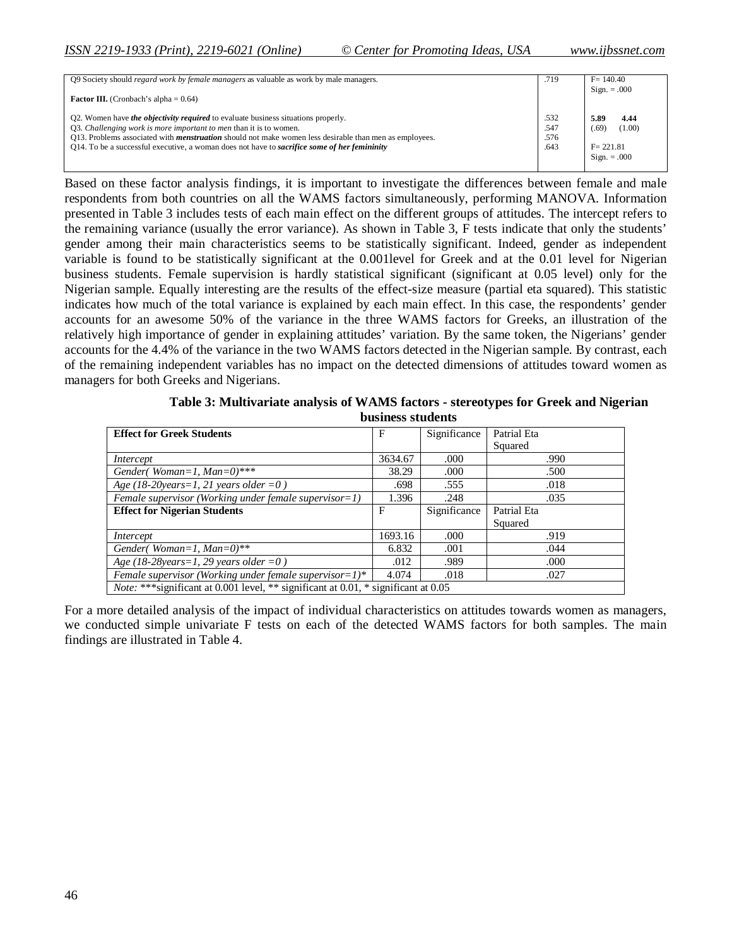| O9 Society should <i>regard work by female managers</i> as valuable as work by male managers.                                                                                                                                                                                                                                                                                          | .719                         | $F = 140.40$                                                      |
|----------------------------------------------------------------------------------------------------------------------------------------------------------------------------------------------------------------------------------------------------------------------------------------------------------------------------------------------------------------------------------------|------------------------------|-------------------------------------------------------------------|
| <b>Factor III.</b> (Cronbach's alpha = $0.64$ )                                                                                                                                                                                                                                                                                                                                        |                              | $Sign. = .000$                                                    |
| Q2. Women have <i>the objectivity required</i> to evaluate business situations properly.<br>Q3. Challenging work is more important to men than it is to women.<br>Q13. Problems associated with <i>menstruation</i> should not make women less desirable than men as employees.<br>Q14. To be a successful executive, a woman does not have to <i>sacrifice some of her femininity</i> | .532<br>.547<br>.576<br>.643 | 5.89<br>4.44<br>(1.00)<br>(.69)<br>$F = 221.81$<br>$Sign. = .000$ |

Based on these factor analysis findings, it is important to investigate the differences between female and male respondents from both countries on all the WAMS factors simultaneously, performing MANOVA. Information presented in Table 3 includes tests of each main effect on the different groups of attitudes. The intercept refers to the remaining variance (usually the error variance). As shown in Table 3, F tests indicate that only the students' gender among their main characteristics seems to be statistically significant. Indeed, gender as independent variable is found to be statistically significant at the 0.001level for Greek and at the 0.01 level for Nigerian business students. Female supervision is hardly statistical significant (significant at 0.05 level) only for the Nigerian sample. Equally interesting are the results of the effect-size measure (partial eta squared). This statistic indicates how much of the total variance is explained by each main effect. In this case, the respondents' gender accounts for an awesome 50% of the variance in the three WAMS factors for Greeks, an illustration of the relatively high importance of gender in explaining attitudes' variation. By the same token, the Nigerians' gender accounts for the 4.4% of the variance in the two WAMS factors detected in the Nigerian sample. By contrast, each of the remaining independent variables has no impact on the detected dimensions of attitudes toward women as managers for both Greeks and Nigerians.

| Table 3: Multivariate analysis of WAMS factors - stereotypes for Greek and Nigerian |
|-------------------------------------------------------------------------------------|
| business students                                                                   |

| <b>Effect for Greek Students</b>                                                           | F       | Significance | Patrial Eta |
|--------------------------------------------------------------------------------------------|---------|--------------|-------------|
|                                                                                            |         |              | Squared     |
| Intercept                                                                                  | 3634.67 | .000         | .990        |
| Gender(Woman=1, $Man=0$ )***                                                               | 38.29   | .000         | .500        |
| Age (18-20years=1, 21 years older =0)                                                      | .698    | .555         | .018        |
| Female supervisor (Working under female supervisor=1)                                      | 1.396   | .248         | .035        |
| <b>Effect for Nigerian Students</b>                                                        | F       | Significance | Patrial Eta |
|                                                                                            |         |              | Squared     |
| Intercept                                                                                  | 1693.16 | .000         | .919        |
| Gender(Woman=1, $Man=0$ )**                                                                | 6.832   | .001         | .044        |
| Age (18-28 years = 1, 29 years older = 0)                                                  | .012    | .989         | .000        |
| Female supervisor (Working under female supervisor= $1$ )*                                 | 4.074   | .018         | .027        |
| <i>Note:</i> *** significant at 0.001 level, ** significant at 0.01, * significant at 0.05 |         |              |             |

For a more detailed analysis of the impact of individual characteristics on attitudes towards women as managers, we conducted simple univariate F tests on each of the detected WAMS factors for both samples. The main findings are illustrated in Table 4.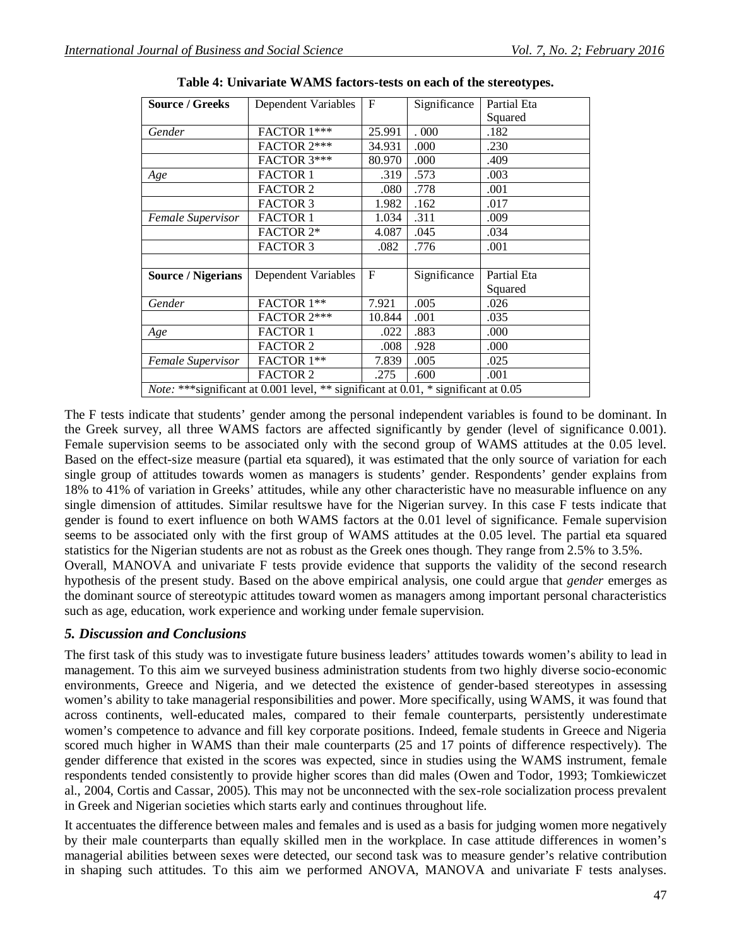| <b>Source / Greeks</b>                                                                     | Dependent Variables | $\mathbf F$ | Significance | Partial Eta |  |
|--------------------------------------------------------------------------------------------|---------------------|-------------|--------------|-------------|--|
|                                                                                            |                     |             |              | Squared     |  |
| Gender                                                                                     | FACTOR 1***         | 25.991      | .000         | .182        |  |
|                                                                                            | FACTOR 2***         | 34.931      | .000         | .230        |  |
|                                                                                            | FACTOR 3***         | 80.970      | .000         | .409        |  |
| Age                                                                                        | <b>FACTOR 1</b>     | .319        | .573         | .003        |  |
|                                                                                            | <b>FACTOR 2</b>     | .080        | .778         | .001        |  |
|                                                                                            | <b>FACTOR 3</b>     | 1.982       | .162         | .017        |  |
| Female Supervisor                                                                          | <b>FACTOR 1</b>     | 1.034       | .311         | .009        |  |
|                                                                                            | <b>FACTOR 2*</b>    | 4.087       | .045         | .034        |  |
|                                                                                            | <b>FACTOR 3</b>     | .082        | .776         | .001        |  |
|                                                                                            |                     |             |              |             |  |
| <b>Source / Nigerians</b>                                                                  | Dependent Variables | $_{\rm F}$  | Significance | Partial Eta |  |
|                                                                                            |                     |             |              | Squared     |  |
| Gender                                                                                     | FACTOR 1**          | 7.921       | .005         | .026        |  |
|                                                                                            | FACTOR 2***         | 10.844      | .001         | .035        |  |
| Age                                                                                        | <b>FACTOR 1</b>     | .022        | .883         | .000        |  |
|                                                                                            | <b>FACTOR 2</b>     | .008        | .928         | .000        |  |
| Female Supervisor                                                                          | FACTOR 1**          | 7.839       | .005         | .025        |  |
|                                                                                            | <b>FACTOR 2</b>     | .275        | .600         | .001        |  |
| <i>Note:</i> *** significant at 0.001 level, ** significant at 0.01, * significant at 0.05 |                     |             |              |             |  |
|                                                                                            |                     |             |              |             |  |

**Table 4: Univariate WAMS factors-tests on each of the stereotypes.**

The F tests indicate that students' gender among the personal independent variables is found to be dominant. In the Greek survey, all three WAMS factors are affected significantly by gender (level of significance 0.001). Female supervision seems to be associated only with the second group of WAMS attitudes at the 0.05 level. Based on the effect-size measure (partial eta squared), it was estimated that the only source of variation for each single group of attitudes towards women as managers is students' gender. Respondents' gender explains from 18% to 41% of variation in Greeks' attitudes, while any other characteristic have no measurable influence on any single dimension of attitudes. Similar resultswe have for the Nigerian survey. In this case F tests indicate that gender is found to exert influence on both WAMS factors at the 0.01 level of significance. Female supervision seems to be associated only with the first group of WAMS attitudes at the 0.05 level. The partial eta squared statistics for the Nigerian students are not as robust as the Greek ones though. They range from 2.5% to 3.5%. Overall, MANOVA and univariate F tests provide evidence that supports the validity of the second research

hypothesis of the present study. Based on the above empirical analysis, one could argue that *gender* emerges as the dominant source of stereotypic attitudes toward women as managers among important personal characteristics such as age, education, work experience and working under female supervision.

### *5. Discussion and Conclusions*

The first task of this study was to investigate future business leaders' attitudes towards women's ability to lead in management. To this aim we surveyed business administration students from two highly diverse socio-economic environments, Greece and Nigeria, and we detected the existence of gender-based stereotypes in assessing women's ability to take managerial responsibilities and power. More specifically, using WAMS, it was found that across continents, well-educated males, compared to their female counterparts, persistently underestimate women's competence to advance and fill key corporate positions. Indeed, female students in Greece and Nigeria scored much higher in WAMS than their male counterparts (25 and 17 points of difference respectively). The gender difference that existed in the scores was expected, since in studies using the WAMS instrument, female respondents tended consistently to provide higher scores than did males (Owen and Todor, 1993; Tomkiewiczet al., 2004, Cortis and Cassar, 2005). This may not be unconnected with the sex-role socialization process prevalent in Greek and Nigerian societies which starts early and continues throughout life.

It accentuates the difference between males and females and is used as a basis for judging women more negatively by their male counterparts than equally skilled men in the workplace. In case attitude differences in women's managerial abilities between sexes were detected, our second task was to measure gender's relative contribution in shaping such attitudes. To this aim we performed ANOVA, MANOVA and univariate F tests analyses.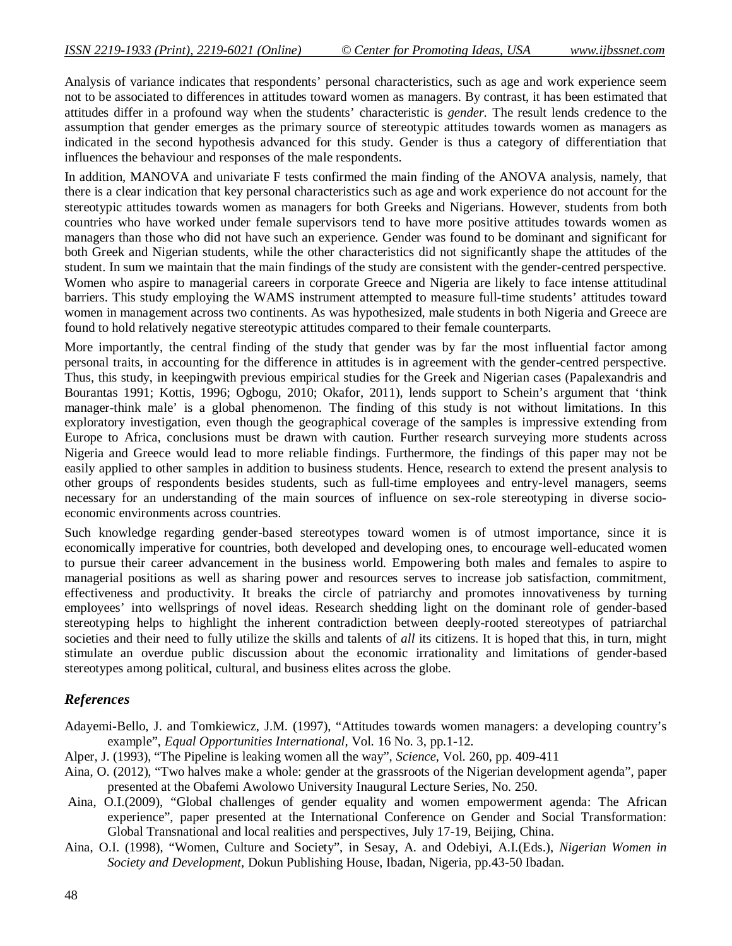Analysis of variance indicates that respondents' personal characteristics, such as age and work experience seem not to be associated to differences in attitudes toward women as managers. By contrast, it has been estimated that attitudes differ in a profound way when the students' characteristic is *gender.* The result lends credence to the assumption that gender emerges as the primary source of stereotypic attitudes towards women as managers as indicated in the second hypothesis advanced for this study. Gender is thus a category of differentiation that influences the behaviour and responses of the male respondents.

In addition, MANOVA and univariate F tests confirmed the main finding of the ANOVA analysis, namely, that there is a clear indication that key personal characteristics such as age and work experience do not account for the stereotypic attitudes towards women as managers for both Greeks and Nigerians. However, students from both countries who have worked under female supervisors tend to have more positive attitudes towards women as managers than those who did not have such an experience. Gender was found to be dominant and significant for both Greek and Nigerian students, while the other characteristics did not significantly shape the attitudes of the student. In sum we maintain that the main findings of the study are consistent with the gender-centred perspective. Women who aspire to managerial careers in corporate Greece and Nigeria are likely to face intense attitudinal barriers. This study employing the WAMS instrument attempted to measure full-time students' attitudes toward women in management across two continents. As was hypothesized, male students in both Nigeria and Greece are found to hold relatively negative stereotypic attitudes compared to their female counterparts.

More importantly, the central finding of the study that gender was by far the most influential factor among personal traits, in accounting for the difference in attitudes is in agreement with the gender-centred perspective. Thus, this study, in keepingwith previous empirical studies for the Greek and Nigerian cases (Papalexandris and Bourantas 1991; Kottis, 1996; Ogbogu, 2010; Okafor, 2011), lends support to Schein's argument that 'think manager-think male' is a global phenomenon. The finding of this study is not without limitations. In this exploratory investigation, even though the geographical coverage of the samples is impressive extending from Europe to Africa, conclusions must be drawn with caution. Further research surveying more students across Nigeria and Greece would lead to more reliable findings. Furthermore, the findings of this paper may not be easily applied to other samples in addition to business students. Hence, research to extend the present analysis to other groups of respondents besides students, such as full-time employees and entry-level managers, seems necessary for an understanding of the main sources of influence on sex-role stereotyping in diverse socioeconomic environments across countries.

Such knowledge regarding gender-based stereotypes toward women is of utmost importance, since it is economically imperative for countries, both developed and developing ones, to encourage well-educated women to pursue their career advancement in the business world. Empowering both males and females to aspire to managerial positions as well as sharing power and resources serves to increase job satisfaction, commitment, effectiveness and productivity. It breaks the circle of patriarchy and promotes innovativeness by turning employees' into wellsprings of novel ideas. Research shedding light on the dominant role of gender-based stereotyping helps to highlight the inherent contradiction between deeply-rooted stereotypes of patriarchal societies and their need to fully utilize the skills and talents of *all* its citizens. It is hoped that this, in turn, might stimulate an overdue public discussion about the economic irrationality and limitations of gender-based stereotypes among political, cultural, and business elites across the globe.

### *References*

- Adayemi-Bello, J. and Tomkiewicz, J.M. (1997), "Attitudes towards women managers: a developing country's example", *Equal Opportunities International,* Vol. 16 No. 3, pp.1-12.
- Alper, J. (1993), "The Pipeline is leaking women all the way", *Science,* Vol. 260, pp. 409-411
- Aina, O. (2012), "Two halves make a whole: gender at the grassroots of the Nigerian development agenda", paper presented at the Obafemi Awolowo University Inaugural Lecture Series, No. 250*.*
- Aina, O.I.(2009), "Global challenges of gender equality and women empowerment agenda: The African experience", paper presented at the International Conference on Gender and Social Transformation: Global Transnational and local realities and perspectives, July 17-19, Beijing, China.
- Aina, O.I. (1998), "Women, Culture and Society", in Sesay, A. and Odebiyi, A.I.(Eds.), *Nigerian Women in Society and Development,* Dokun Publishing House, Ibadan, Nigeria, pp.43-50 Ibadan.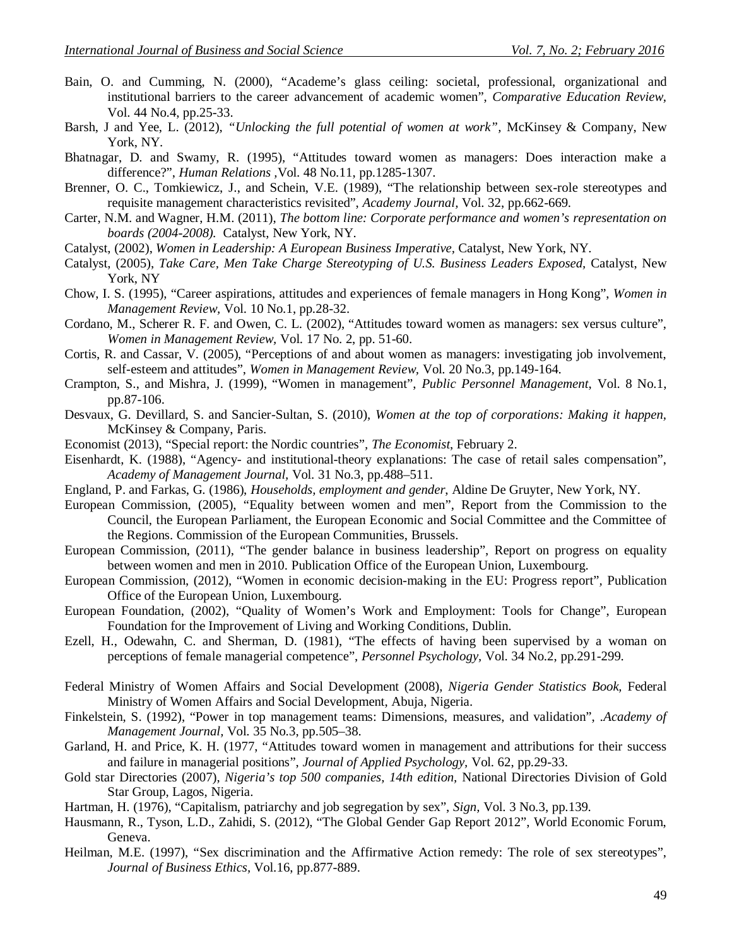- Bain, O. and Cumming, N. (2000), "Academe's glass ceiling: societal, professional, organizational and institutional barriers to the career advancement of academic women", *Comparative Education Review,*  Vol. 44 No.4, pp.25-33.
- Barsh, J and Yee, L. (2012), *"Unlocking the full potential of women at work",* McKinsey & Company, New York, NY.
- Bhatnagar, D. and Swamy, R. (1995), "Attitudes toward women as managers: Does interaction make a difference?", *Human Relations ,*Vol. 48 No.11, pp.1285-1307.
- Brenner, O. C., Tomkiewicz, J., and Schein, V.E. (1989), "The relationship between sex-role stereotypes and requisite management characteristics revisited", *Academy Journal,* Vol. 32, pp.662-669.
- Carter, N.M. and Wagner, H.M. (2011), *The bottom line: Corporate performance and women's representation on boards (2004-2008).* Catalyst, New York, NY.
- Catalyst, (2002), *Women in Leadership: A European Business Imperative,* Catalyst, New York, NY.
- Catalyst, (2005), *Take Care, Men Take Charge Stereotyping of U.S. Business Leaders Exposed, Catalyst, New* York, NY
- Chow, I. S. (1995), "Career aspirations, attitudes and experiences of female managers in Hong Kong", *Women in Management Review,* Vol. 10 No.1, pp.28-32.
- Cordano, M., Scherer R. F. and Owen, C. L. (2002), "Attitudes toward women as managers: sex versus culture", *Women in Management Review,* Vol. 17 No. 2, pp. 51-60.
- Cortis, R. and Cassar, V. (2005), "Perceptions of and about women as managers: investigating job involvement, self-esteem and attitudes", *Women in Management Review,* Vol. 20 No.3, pp.149-164.
- Crampton, S., and Mishra, J. (1999), "Women in management", *Public Personnel Management*, Vol. 8 No.1, pp.87-106.
- Desvaux, G. Devillard, S. and Sancier-Sultan, S. (2010), *Women at the top of corporations: Making it happen,* McKinsey & Company, Paris.
- Economist (2013), "Special report: the Nordic countries"*, The Economist*, February 2.
- Eisenhardt, K. (1988), "Agency- and institutional-theory explanations: The case of retail sales compensation", *Academy of Management Journal,* Vol. 31 No.3, pp.488–511.
- England, P. and Farkas, G. (1986), *Households, employment and gender*, Aldine De Gruyter, New York, NY.
- European Commission, (2005), "Equality between women and men", Report from the Commission to the Council, the European Parliament, the European Economic and Social Committee and the Committee of the Regions. Commission of the European Communities, Brussels.
- European Commission, (2011), "The gender balance in business leadership", Report on progress on equality between women and men in 2010. Publication Office of the European Union, Luxembourg.
- European Commission, (2012), "Women in economic decision-making in the EU: Progress report"*,* Publication Office of the European Union, Luxembourg.
- European Foundation, (2002), "Quality of Women's Work and Employment: Tools for Change", European Foundation for the Improvement of Living and Working Conditions, Dublin.
- Ezell, H., Odewahn, C. and Sherman, D. (1981), "The effects of having been supervised by a woman on perceptions of female managerial competence", *Personnel Psychology,* Vol. 34 No.2, pp.291-299.
- Federal Ministry of Women Affairs and Social Development (2008), *Nigeria Gender Statistics Book,* Federal Ministry of Women Affairs and Social Development, Abuja, Nigeria.
- Finkelstein, S. (1992), "Power in top management teams: Dimensions, measures, and validation", .*Academy of Management Journal,* Vol. 35 No.3, pp.505–38.
- Garland, H. and Price, K. H. (1977, "Attitudes toward women in management and attributions for their success and failure in managerial positions", *Journal of Applied Psychology,* Vol. 62, pp.29-33.
- Gold star Directories (2007), *Nigeria's top 500 companies, 14th edition,* National Directories Division of Gold Star Group, Lagos, Nigeria.
- Hartman, H. (1976), "Capitalism, patriarchy and job segregation by sex", *Sign,* Vol. 3 No.3, pp.139.
- Hausmann, R., Tyson, L.D., Zahidi, S. (2012), "The Global Gender Gap Report 2012", World Economic Forum, Geneva.
- Heilman, M.E. (1997), "Sex discrimination and the Affirmative Action remedy: The role of sex stereotypes", *Journal of Business Ethics,* Vol.16, pp.877-889.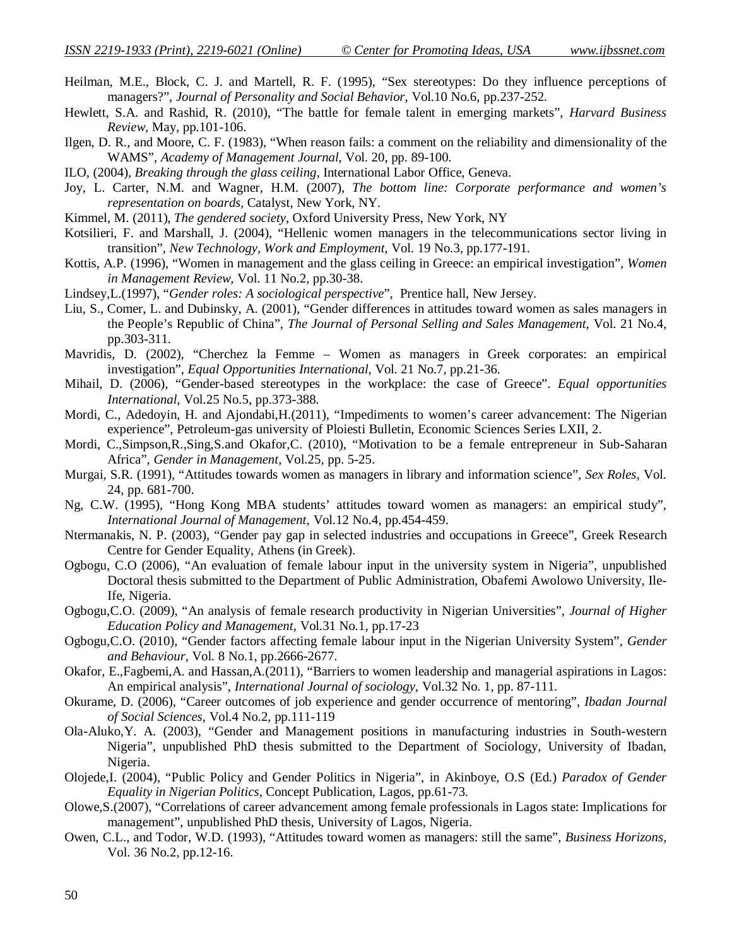Heilman, M.E., Block, C. J. and Martell, R. F. (1995), "Sex stereotypes: Do they influence perceptions of managers?", *Journal of Personality and Social Behavior,* Vol.10 No.6, pp.237-252.

- Hewlett, S.A. and Rashid, R. (2010), "The battle for female talent in emerging markets", *Harvard Business Review*, May, pp.101-106.
- Ilgen, D. R., and Moore, C. F. (1983), "When reason fails: a comment on the reliability and dimensionality of the WAMS", *Academy of Management Journal,* Vol. 20, pp. 89-100.
- ILO, (2004), *Breaking through the glass ceiling*, International Labor Office, Geneva.
- Joy, L. Carter, N.M. and Wagner, H.M. (2007), *The bottom line: Corporate performance and women's representation on boards,* Catalyst, New York, NY.
- Kimmel, M. (2011), *The gendered society*, Oxford University Press, New York, NY
- Kotsilieri, F. and Marshall, J. (2004), "Hellenic women managers in the telecommunications sector living in transition", *New Technology, Work and Employment,* Vol. 19 No.3, pp.177-191.
- Kottis, A.P. (1996), "Women in management and the glass ceiling in Greece: an empirical investigation", *Women in Management Review,* Vol. 11 No.2, pp.30-38.
- Lindsey,L.(1997), "*Gender roles: A sociological perspective*", Prentice hall, New Jersey.
- Liu, S., Comer, L. and Dubinsky, A. (2001), "Gender differences in attitudes toward women as sales managers in the People's Republic of China", *The Journal of Personal Selling and Sales Management,* Vol. 21 No.4, pp.303-311.
- Mavridis, D. (2002), "Cherchez la Femme Women as managers in Greek corporates: an empirical investigation", *Equal Opportunities International,* Vol. 21 No.7, pp.21-36.
- Mihail, D. (2006), "Gender-based stereotypes in the workplace: the case of Greece". *Equal opportunities International,* Vol.25 No.5, pp.373-388.
- Mordi, C., Adedoyin, H. and Ajondabi,H.(2011), "Impediments to women's career advancement: The Nigerian experience", Petroleum-gas university of Ploiesti Bulletin, Economic Sciences Series LXII, 2.
- Mordi, C.,Simpson,R.,Sing,S.and Okafor,C. (2010), "Motivation to be a female entrepreneur in Sub-Saharan Africa", *Gender in Management,* Vol.25, pp. 5-25.
- Murgai, S.R. (1991), "Attitudes towards women as managers in library and information science", *Sex Roles,* Vol. 24, pp. 681-700.
- Ng, C.W. (1995), "Hong Kong MBA students' attitudes toward women as managers: an empirical study", *International Journal of Management,* Vol.12 No.4, pp.454-459.
- Ntermanakis, N. P. (2003), "Gender pay gap in selected industries and occupations in Greece", Greek Research Centre for Gender Equality, Athens (in Greek).
- Ogbogu, C.O (2006), "An evaluation of female labour input in the university system in Nigeria", unpublished Doctoral thesis submitted to the Department of Public Administration, Obafemi Awolowo University, Ile-Ife, Nigeria.
- Ogbogu,C.O. (2009), "An analysis of female research productivity in Nigerian Universities", *Journal of Higher Education Policy and Management,* Vol.31 No.1, pp.17-23
- Ogbogu,C.O. (2010), "Gender factors affecting female labour input in the Nigerian University System", *Gender and Behaviour,* Vol. 8 No.1, pp.2666-2677.
- Okafor, E.,Fagbemi,A. and Hassan,A.(2011), "Barriers to women leadership and managerial aspirations in Lagos: An empirical analysis", *International Journal of sociology,* Vol.32 No. 1, pp. 87-111.
- Okurame, D. (2006), "Career outcomes of job experience and gender occurrence of mentoring", *Ibadan Journal of Social Sciences*, Vol.4 No.2, pp.111-119
- Ola-Aluko,Y. A. (2003), "Gender and Management positions in manufacturing industries in South-western Nigeria", unpublished PhD thesis submitted to the Department of Sociology, University of Ibadan, Nigeria.
- Olojede,I. (2004), "Public Policy and Gender Politics in Nigeria", in Akinboye, O.S (Ed.) *Paradox of Gender Equality in Nigerian Politics*, Concept Publication, Lagos, pp.61-73.
- Olowe,S.(2007), "Correlations of career advancement among female professionals in Lagos state: Implications for management", unpublished PhD thesis, University of Lagos, Nigeria.
- Owen, C.L., and Todor, W.D. (1993), "Attitudes toward women as managers: still the same", *Business Horizons,* Vol. 36 No.2, pp.12-16.